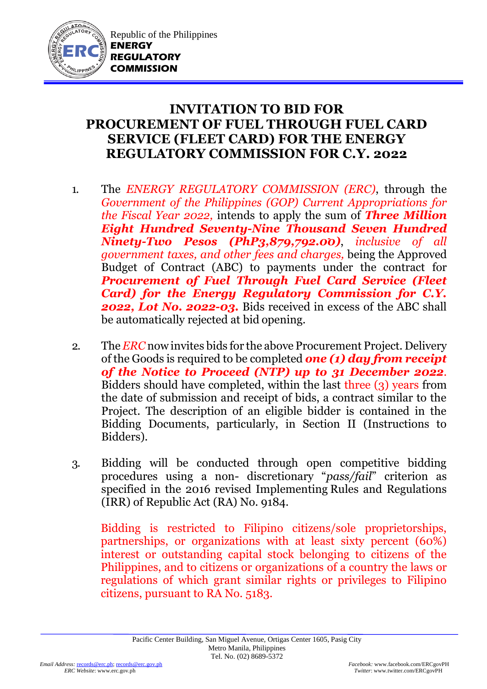

Republic of the Philippines **ENERGY REGULATORY COMMISSION**

## **INVITATION TO BID FOR PROCUREMENT OF FUEL THROUGH FUEL CARD SERVICE (FLEET CARD) FOR THE ENERGY REGULATORY COMMISSION FOR C.Y. 2022**

- 1. The *ENERGY REGULATORY COMMISSION (ERC)*, through the *Government of the Philippines (GOP) Current Appropriations for the Fiscal Year 2022,* intends to apply the sum of *Three Million Eight Hundred Seventy-Nine Thousand Seven Hundred Ninety-Two Pesos (PhP3,879,792.00)*, *inclusive of all government taxes, and other fees and charges,* being the Approved Budget of Contract (ABC) to payments under the contract for *Procurement of Fuel Through Fuel Card Service (Fleet Card) for the Energy Regulatory Commission for C.Y. 2022, Lot No. 2022-03.* Bids received in excess of the ABC shall be automatically rejected at bid opening.
- 2. The *ERC* now invites bids for the above Procurement Project. Delivery of the Goods is required to be completed *one (1) day from receipt of the Notice to Proceed (NTP) up to 31 December 2022*. Bidders should have completed, within the last three (3) years from the date of submission and receipt of bids, a contract similar to the Project. The description of an eligible bidder is contained in the Bidding Documents, particularly, in Section II (Instructions to Bidders).
- 3. Bidding will be conducted through open competitive bidding procedures using a non- discretionary "*pass/fail*" criterion as specified in the 2016 revised Implementing Rules and Regulations (IRR) of Republic Act (RA) No. 9184.

Bidding is restricted to Filipino citizens/sole proprietorships, partnerships, or organizations with at least sixty percent (60%) interest or outstanding capital stock belonging to citizens of the Philippines, and to citizens or organizations of a country the laws or regulations of which grant similar rights or privileges to Filipino citizens, pursuant to RA No. 5183.

 $Twitter:$  www.twitter.com/ERCgovPH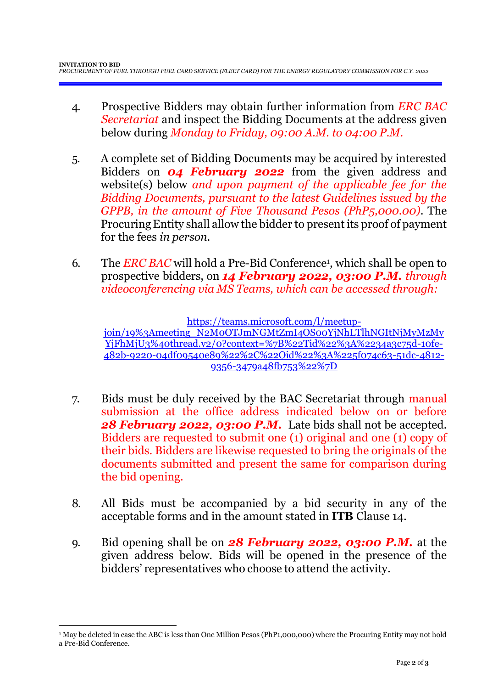- 4. Prospective Bidders may obtain further information from *ERC BAC Secretariat* and inspect the Bidding Documents at the address given below during *Monday to Friday, 09:00 A.M. to 04:00 P.M*.
- 5. A complete set of Bidding Documents may be acquired by interested Bidders on *04 February 2022* from the given address and website(s) below *and upon payment of the applicable fee for the Bidding Documents, pursuant to the latest Guidelines issued by the GPPB, in the amount of Five Thousand Pesos (PhP5,000.00)*. The ProcuringEntity shall allow the bidder to present its proof of payment for the fees *in person.*
- 6. The *ERC BAC* will hold a Pre-Bid Conference<sup>1</sup>, which shall be open to prospective bidders, on *14 February 2022, 03:00 P.M. through videoconferencing via MS Teams, which can be accessed through:*

[https://teams.microsoft.com/l/meetup](https://teams.microsoft.com/l/meetup-join/19%3Ameeting_N2M0OTJmNGMtZmI4OS00YjNhLTlhNGItNjMyMzMyYjFhMjU3%40thread.v2/0?context=%7B%22Tid%22%3A%2234a3c75d-10fe-482b-9220-04df09540e89%22%2C%22Oid%22%3A%225f074c63-51dc-4812-9356-3479a48fb753%22%7D)[join/19%3Ameeting\\_N2M0OTJmNGMtZmI4OS00YjNhLTlhNGItNjMyMzMy](https://teams.microsoft.com/l/meetup-join/19%3Ameeting_N2M0OTJmNGMtZmI4OS00YjNhLTlhNGItNjMyMzMyYjFhMjU3%40thread.v2/0?context=%7B%22Tid%22%3A%2234a3c75d-10fe-482b-9220-04df09540e89%22%2C%22Oid%22%3A%225f074c63-51dc-4812-9356-3479a48fb753%22%7D) [YjFhMjU3%40thread.v2/0?context=%7B%22Tid%22%3A%2234a3c75d-10fe-](https://teams.microsoft.com/l/meetup-join/19%3Ameeting_N2M0OTJmNGMtZmI4OS00YjNhLTlhNGItNjMyMzMyYjFhMjU3%40thread.v2/0?context=%7B%22Tid%22%3A%2234a3c75d-10fe-482b-9220-04df09540e89%22%2C%22Oid%22%3A%225f074c63-51dc-4812-9356-3479a48fb753%22%7D)[482b-9220-04df09540e89%22%2C%22Oid%22%3A%225f074c63-51dc-4812-](https://teams.microsoft.com/l/meetup-join/19%3Ameeting_N2M0OTJmNGMtZmI4OS00YjNhLTlhNGItNjMyMzMyYjFhMjU3%40thread.v2/0?context=%7B%22Tid%22%3A%2234a3c75d-10fe-482b-9220-04df09540e89%22%2C%22Oid%22%3A%225f074c63-51dc-4812-9356-3479a48fb753%22%7D) [9356-3479a48fb753%22%7D](https://teams.microsoft.com/l/meetup-join/19%3Ameeting_N2M0OTJmNGMtZmI4OS00YjNhLTlhNGItNjMyMzMyYjFhMjU3%40thread.v2/0?context=%7B%22Tid%22%3A%2234a3c75d-10fe-482b-9220-04df09540e89%22%2C%22Oid%22%3A%225f074c63-51dc-4812-9356-3479a48fb753%22%7D)

- 7. Bids must be duly received by the BAC Secretariat through manual submission at the office address indicated below on or before *28 February 2022, 03:00 P.M.* Late bids shall not be accepted. Bidders are requested to submit one (1) original and one (1) copy of their bids. Bidders are likewise requested to bring the originals of the documents submitted and present the same for comparison during the bid opening.
- 8. All Bids must be accompanied by a bid security in any of the acceptable forms and in the amount stated in **ITB** Clause 14.
- 9. Bid opening shall be on *28 February 2022, 03:00 P.M.* at the given address below. Bids will be opened in the presence of the bidders' representatives who choose to attend the activity.

1

<sup>1</sup> May be deleted in case the ABC is less than One Million Pesos (PhP1,000,000) where the Procuring Entity may not hold a Pre-Bid Conference.